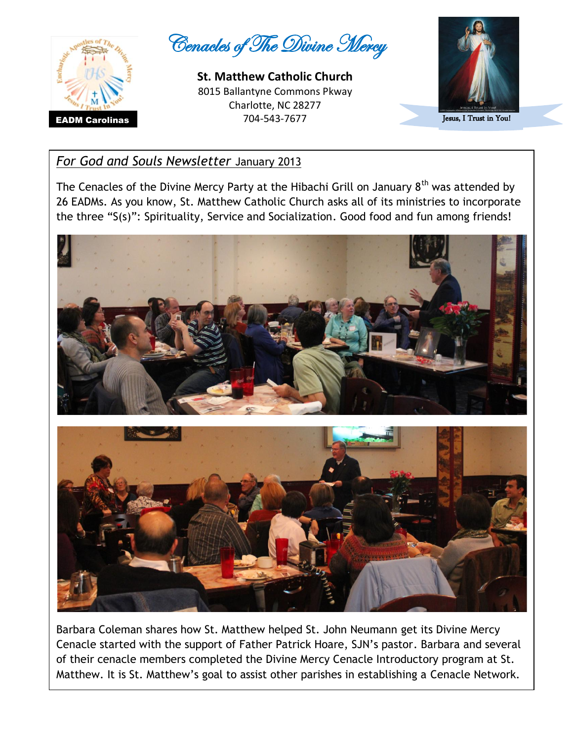

Cenacles of The Divine Mercy

**St. Matthew Catholic Church**  8015 Ballantyne Commons Pkway Charlotte, NC 28277 **EADM Carolinas** 2004-543-7677



Jesus, I Trust in You!

## *For God and Souls Newsletter* January 2013

The Cenacles of the Divine Mercy Party at the Hibachi Grill on January  $8<sup>th</sup>$  was attended by 26 EADMs. As you know, St. Matthew Catholic Church asks all of its ministries to incorporate the three "S(s)": Spirituality, Service and Socialization. Good food and fun among friends!



Barbara Coleman shares how St. Matthew helped St. John Neumann get its Divine Mercy Cenacle started with the support of Father Patrick Hoare, SJN's pastor. Barbara and several of their cenacle members completed the Divine Mercy Cenacle Introductory program at St. Matthew. It is St. Matthew's goal to assist other parishes in establishing a Cenacle Network.